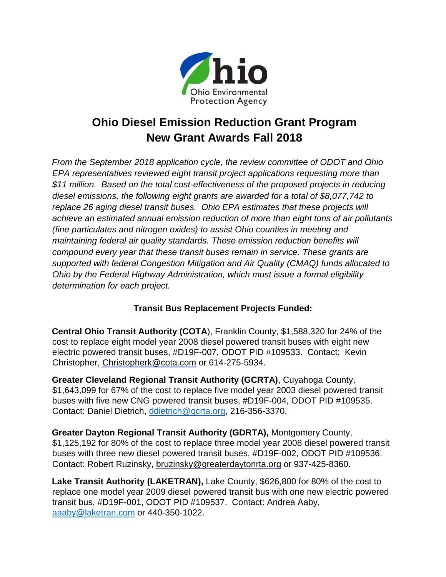

## **Ohio Diesel Emission Reduction Grant Program New Grant Awards Fall 2018**

*From the September 2018 application cycle, the review committee of ODOT and Ohio EPA representatives reviewed eight transit project applications requesting more than \$11 million. Based on the total cost-effectiveness of the proposed projects in reducing diesel emissions, the following eight grants are awarded for a total of \$8,077,742 to replace 26 aging diesel transit buses. Ohio EPA estimates that these projects will achieve an estimated annual emission reduction of more than eight tons of air pollutants (fine particulates and nitrogen oxides) to assist Ohio counties in meeting and maintaining federal air quality standards. These emission reduction benefits will compound every year that these transit buses remain in service. These grants are supported with federal Congestion Mitigation and Air Quality (CMAQ) funds allocated to Ohio by the Federal Highway Administration, which must issue a formal eligibility determination for each project.* 

## **Transit Bus Replacement Projects Funded:**

**Central Ohio Transit Authority (COTA**), Franklin County, \$1,588,320 for 24% of the cost to replace eight model year 2008 diesel powered transit buses with eight new electric powered transit buses, #D19F-007, ODOT PID #109533. Contact: Kevin Christopher, Christopherk@cota.com or 614-275-5934.

**Greater Cleveland Regional Transit Authority (GCRTA)**, Cuyahoga County, \$1,643,099 for 67% of the cost to replace five model year 2003 diesel powered transit buses with five new CNG powered transit buses, #D19F-004, ODOT PID #109535. Contact: Daniel Dietrich, [ddietrich@gcrta.org,](mailto:ddietrich@gcrta.org) 216-356-3370.

**Greater Dayton Regional Transit Authority (GDRTA),** Montgomery County, \$1,125,192 for 80% of the cost to replace three model year 2008 diesel powered transit buses with three new diesel powered transit buses, #D19F-002, ODOT PID #109536. Contact: Robert Ruzinsky, bruzinsky@greaterdaytonrta.org or 937-425-8360.

**Lake Transit Authority (LAKETRAN),** Lake County, \$626,800 for 80% of the cost to replace one model year 2009 diesel powered transit bus with one new electric powered transit bus, #D19F-001, ODOT PID #109537. Contact: Andrea Aaby, [aaaby@laketran.com](mailto:aaaby@laketran.com) or 440-350-1022.